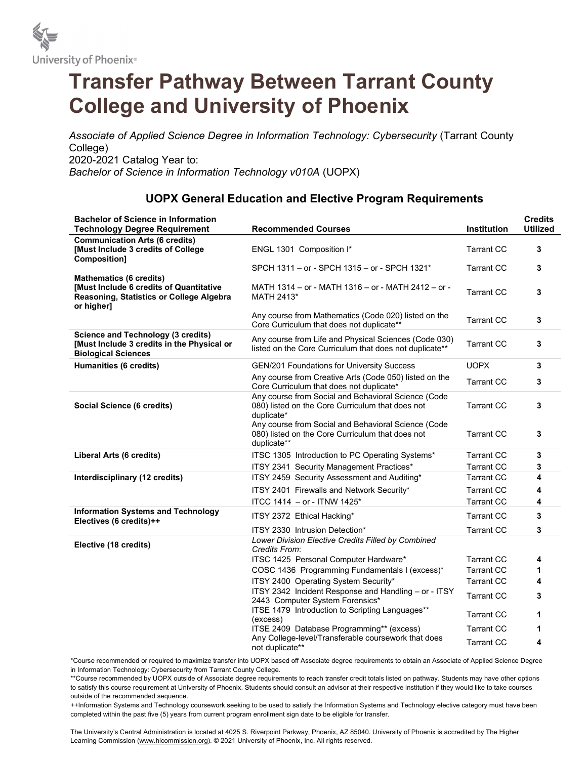

## Transfer Pathway Between Tarrant County College and University of Phoenix

Associate of Applied Science Degree in Information Technology: Cybersecurity (Tarrant County College) 2020-2021 Catalog Year to: Bachelor of Science in Information Technology v010A (UOPX)

## UOPX General Education and Elective Program Requirements

| <b>Bachelor of Science in Information</b><br><b>Technology Degree Requirement</b>                                                   | <b>Recommended Courses</b>                                                                                             | <b>Institution</b> | <b>Credits</b><br><b>Utilized</b> |
|-------------------------------------------------------------------------------------------------------------------------------------|------------------------------------------------------------------------------------------------------------------------|--------------------|-----------------------------------|
| <b>Communication Arts (6 credits)</b><br>[Must Include 3 credits of College<br>Composition]                                         | ENGL 1301 Composition I*                                                                                               | <b>Tarrant CC</b>  | 3                                 |
|                                                                                                                                     | SPCH 1311 - or - SPCH 1315 - or - SPCH 1321*                                                                           | <b>Tarrant CC</b>  | 3                                 |
| <b>Mathematics (6 credits)</b><br>[Must Include 6 credits of Quantitative<br>Reasoning, Statistics or College Algebra<br>or higher] | MATH 1314 - or - MATH 1316 - or - MATH 2412 - or -<br>MATH 2413*                                                       | <b>Tarrant CC</b>  | 3                                 |
|                                                                                                                                     | Any course from Mathematics (Code 020) listed on the<br>Core Curriculum that does not duplicate**                      | <b>Tarrant CC</b>  | 3                                 |
| <b>Science and Technology (3 credits)</b><br>[Must Include 3 credits in the Physical or<br><b>Biological Sciences</b>               | Any course from Life and Physical Sciences (Code 030)<br>listed on the Core Curriculum that does not duplicate**       | <b>Tarrant CC</b>  | 3                                 |
| <b>Humanities (6 credits)</b>                                                                                                       | GEN/201 Foundations for University Success                                                                             | <b>UOPX</b>        | 3                                 |
|                                                                                                                                     | Any course from Creative Arts (Code 050) listed on the<br>Core Curriculum that does not duplicate*                     | <b>Tarrant CC</b>  | 3                                 |
| <b>Social Science (6 credits)</b>                                                                                                   | Any course from Social and Behavioral Science (Code<br>080) listed on the Core Curriculum that does not<br>duplicate*  | <b>Tarrant CC</b>  | 3                                 |
|                                                                                                                                     | Any course from Social and Behavioral Science (Code<br>080) listed on the Core Curriculum that does not<br>duplicate** | <b>Tarrant CC</b>  | 3                                 |
| Liberal Arts (6 credits)                                                                                                            | ITSC 1305 Introduction to PC Operating Systems*                                                                        | <b>Tarrant CC</b>  | 3                                 |
|                                                                                                                                     | ITSY 2341 Security Management Practices*                                                                               | <b>Tarrant CC</b>  | 3                                 |
| Interdisciplinary (12 credits)                                                                                                      | ITSY 2459 Security Assessment and Auditing*                                                                            | <b>Tarrant CC</b>  | 4                                 |
|                                                                                                                                     | ITSY 2401 Firewalls and Network Security*                                                                              | <b>Tarrant CC</b>  | 4                                 |
|                                                                                                                                     | ITCC 1414 - or - ITNW 1425*                                                                                            | <b>Tarrant CC</b>  | 4                                 |
| <b>Information Systems and Technology</b><br>Electives (6 credits)++                                                                | ITSY 2372 Ethical Hacking*                                                                                             | <b>Tarrant CC</b>  | 3                                 |
|                                                                                                                                     | ITSY 2330 Intrusion Detection*                                                                                         | <b>Tarrant CC</b>  | 3                                 |
| Elective (18 credits)                                                                                                               | Lower Division Elective Credits Filled by Combined<br>Credits From:                                                    |                    |                                   |
|                                                                                                                                     | ITSC 1425 Personal Computer Hardware*                                                                                  | <b>Tarrant CC</b>  | 4                                 |
|                                                                                                                                     | COSC 1436 Programming Fundamentals I (excess)*                                                                         | <b>Tarrant CC</b>  | 1                                 |
|                                                                                                                                     | ITSY 2400 Operating System Security*                                                                                   | <b>Tarrant CC</b>  | 4                                 |
|                                                                                                                                     | ITSY 2342 Incident Response and Handling - or - ITSY<br>2443 Computer System Forensics*                                | <b>Tarrant CC</b>  | 3                                 |
|                                                                                                                                     | ITSE 1479 Introduction to Scripting Languages**                                                                        | <b>Tarrant CC</b>  | 1                                 |
|                                                                                                                                     | (excess)<br>ITSE 2409 Database Programming** (excess)                                                                  | <b>Tarrant CC</b>  | 1                                 |
|                                                                                                                                     | Any College-level/Transferable coursework that does<br>not duplicate**                                                 | <b>Tarrant CC</b>  | 4                                 |

\*Course recommended or required to maximize transfer into UOPX based off Associate degree requirements to obtain an Associate of Applied Science Degree in Information Technology: Cybersecurity from Tarrant County College.

\*\*Course recommended by UOPX outside of Associate degree requirements to reach transfer credit totals listed on pathway. Students may have other options to satisfy this course requirement at University of Phoenix. Students should consult an advisor at their respective institution if they would like to take courses outside of the recommended sequence.

++Information Systems and Technology coursework seeking to be used to satisfy the Information Systems and Technology elective category must have been completed within the past five (5) years from current program enrollment sign date to be eligible for transfer.

The University's Central Administration is located at 4025 S. Riverpoint Parkway, Phoenix, AZ 85040. University of Phoenix is accredited by The Higher Learning Commission (www.hlcommission.org). © 2021 University of Phoenix, Inc. All rights reserved.